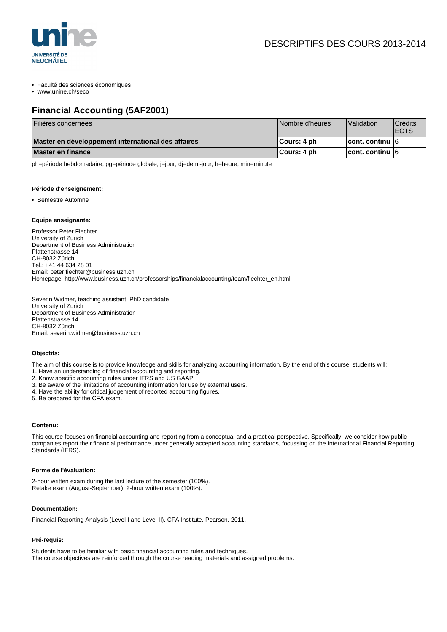

• Faculté des sciences économiques

• www.unine.ch/seco

## **Financial Accounting (5AF2001)**

| Filières concernées                                | Nombre d'heures | Validation             | <b>Crédits</b><br><b>IECTS</b> |
|----------------------------------------------------|-----------------|------------------------|--------------------------------|
| Master en développement international des affaires | ∣Cours: 4 ph    | <b>cont. continu 6</b> |                                |
| <b>Master en finance</b>                           | ∥Cours: 4 ph    | <b>cont. continu 6</b> |                                |

ph=période hebdomadaire, pg=période globale, j=jour, dj=demi-jour, h=heure, min=minute

#### **Période d'enseignement:**

• Semestre Automne

#### **Equipe enseignante:**

Professor Peter Fiechter University of Zurich Department of Business Administration Plattenstrasse 14 CH-8032 Zürich Tel.: +41 44 634 28 01 Email: peter.fiechter@business.uzh.ch Homepage: http://www.business.uzh.ch/professorships/financialaccounting/team/fiechter\_en.html

Severin Widmer, teaching assistant, PhD candidate University of Zurich Department of Business Administration Plattenstrasse 14 CH-8032 Zürich Email: severin.widmer@business.uzh.ch

#### **Objectifs:**

The aim of this course is to provide knowledge and skills for analyzing accounting information. By the end of this course, students will:

- 1. Have an understanding of financial accounting and reporting.
- 2. Know specific accounting rules under IFRS and US GAAP.
- 3. Be aware of the limitations of accounting information for use by external users.
- 4. Have the ability for critical judgement of reported accounting figures.
- 5. Be prepared for the CFA exam.

#### **Contenu:**

This course focuses on financial accounting and reporting from a conceptual and a practical perspective. Specifically, we consider how public companies report their financial performance under generally accepted accounting standards, focussing on the International Financial Reporting Standards (IFRS).

#### **Forme de l'évaluation:**

2-hour written exam during the last lecture of the semester (100%). Retake exam (August-September): 2-hour written exam (100%).

#### **Documentation:**

Financial Reporting Analysis (Level I and Level II), CFA Institute, Pearson, 2011.

### **Pré-requis:**

Students have to be familiar with basic financial accounting rules and techniques. The course objectives are reinforced through the course reading materials and assigned problems.